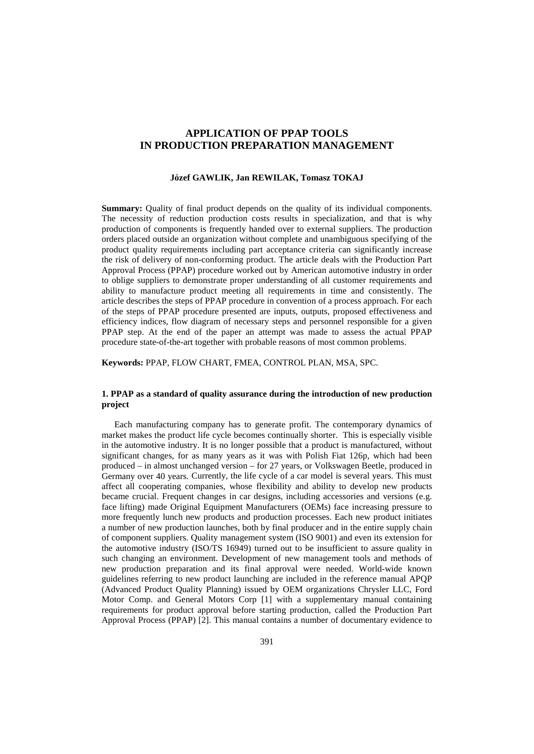# **APPLICATION OF PPAP TOOLS IN PRODUCTION PREPARATION MANAGEMENT**

#### **Józef GAWLIK, Jan REWILAK, Tomasz TOKAJ**

**Summary:** Quality of final product depends on the quality of its individual components. The necessity of reduction production costs results in specialization, and that is why production of components is frequently handed over to external suppliers. The production orders placed outside an organization without complete and unambiguous specifying of the product quality requirements including part acceptance criteria can significantly increase the risk of delivery of non-conforming product. The article deals with the Production Part Approval Process (PPAP) procedure worked out by American automotive industry in order to oblige suppliers to demonstrate proper understanding of all customer requirements and ability to manufacture product meeting all requirements in time and consistently. The article describes the steps of PPAP procedure in convention of a process approach. For each of the steps of PPAP procedure presented are inputs, outputs, proposed effectiveness and efficiency indices, flow diagram of necessary steps and personnel responsible for a given PPAP step. At the end of the paper an attempt was made to assess the actual PPAP procedure state-of-the-art together with probable reasons of most common problems.

**Keywords:** PPAP, FLOW CHART, FMEA, CONTROL PLAN, MSA, SPC.

# **1. PPAP as a standard of quality assurance during the introduction of new production project**

Each manufacturing company has to generate profit. The contemporary dynamics of market makes the product life cycle becomes continually shorter. This is especially visible in the automotive industry. It is no longer possible that a product is manufactured, without significant changes, for as many years as it was with Polish Fiat 126p, which had been produced – in almost unchanged version – for 27 years, or Volkswagen Beetle, produced in Germany over 40 years. Currently, the life cycle of a car model is several years. This must affect all cooperating companies, whose flexibility and ability to develop new products became crucial. Frequent changes in car designs, including accessories and versions (e.g. face lifting) made Original Equipment Manufacturers (OEMs) face increasing pressure to more frequently lunch new products and production processes. Each new product initiates a number of new production launches, both by final producer and in the entire supply chain of component suppliers. Quality management system (ISO 9001) and even its extension for the automotive industry (ISO/TS 16949) turned out to be insufficient to assure quality in such changing an environment. Development of new management tools and methods of new production preparation and its final approval were needed. World-wide known guidelines referring to new product launching are included in the reference manual APQP (Advanced Product Quality Planning) issued by OEM organizations Chrysler LLC, Ford Motor Comp. and General Motors Corp [1] with a supplementary manual containing requirements for product approval before starting production, called the Production Part Approval Process (PPAP) [2]. This manual contains a number of documentary evidence to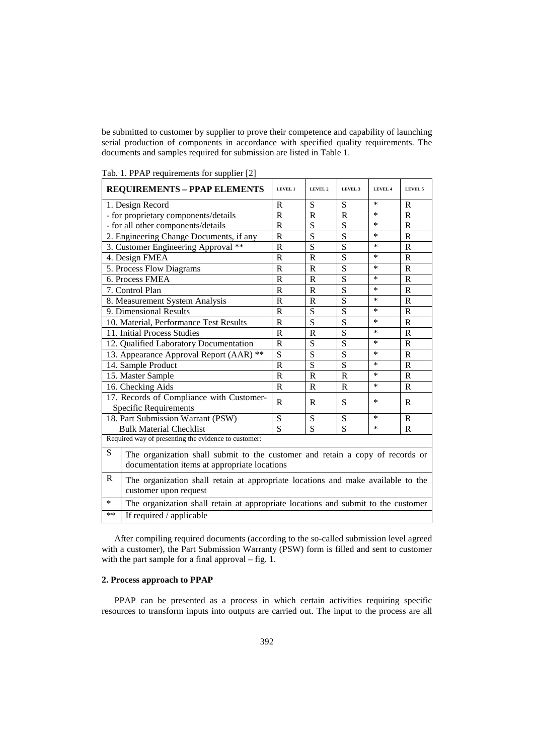be submitted to customer by supplier to prove their competence and capability of launching serial production of components in accordance with specified quality requirements. The documents and samples required for submission are listed in Table 1.

| <b>REQUIREMENTS - PPAP ELEMENTS</b>                                                         | <b>LEVEL 1</b> | LEVEL 2               | LEVEL 3        | LEVEL 4 | LEVEL 5        |
|---------------------------------------------------------------------------------------------|----------------|-----------------------|----------------|---------|----------------|
| 1. Design Record                                                                            | R              | S                     | S              | ∗       | R              |
| - for proprietary components/details                                                        | R              | R                     | R              | $\ast$  | R              |
| - for all other components/details                                                          | $\mathbb{R}$   | S                     | S              | ∗       | $\mathbf R$    |
| 2. Engineering Change Documents, if any                                                     | $\overline{R}$ | $\overline{S}$        | $\overline{S}$ | *       | $\mathbf R$    |
| 3. Customer Engineering Approval **                                                         | $\mathbf R$    | S                     | $\overline{S}$ | $\ast$  | $\mathbf R$    |
| 4. Design FMEA                                                                              | $\mathbb{R}$   | $\mathbb{R}$          | S              | *       | R              |
| 5. Process Flow Diagrams                                                                    | $\mathbf R$    | $\mathbf R$           | $\overline{S}$ | ∗       | $\mathbf R$    |
| 6. Process FMEA                                                                             | $\mathbf R$    | $\mathbf R$           | $\overline{S}$ | $\ast$  | $\mathbf R$    |
| 7. Control Plan                                                                             | $\mathbb{R}$   | R                     | S              | *       | R              |
| 8. Measurement System Analysis                                                              | $\mathbf R$    | $\mathbf R$           | $\overline{S}$ | ∗       | $\mathbf R$    |
| 9. Dimensional Results                                                                      | $\mathbf R$    | S                     | $\overline{S}$ | $\ast$  | $\mathbf R$    |
| 10. Material, Performance Test Results                                                      | $\mathbb{R}$   | S                     | S              | ∗       | R              |
| 11. Initial Process Studies                                                                 | $\mathbf R$    | $\overline{\text{R}}$ | $\overline{S}$ | ∗       | $\mathbf R$    |
| 12. Qualified Laboratory Documentation                                                      | $\mathbb{R}$   | S                     | S              | $\ast$  | $\mathbf R$    |
| 13. Appearance Approval Report (AAR) **                                                     | S              | S                     | S              | ∗       | R              |
| 14. Sample Product                                                                          | $\mathbf R$    | S                     | $\overline{S}$ | ∗       | $\mathbf R$    |
| 15. Master Sample                                                                           | $\mathbf R$    | $\mathbf R$           | $\overline{R}$ | $\ast$  | $\overline{R}$ |
| 16. Checking Aids                                                                           | $\mathbb{R}$   | R                     | $\mathbb{R}$   | ∗       | R              |
| 17. Records of Compliance with Customer-                                                    | R              | R                     | S              | ∗       | R              |
| Specific Requirements                                                                       |                |                       |                |         |                |
| 18. Part Submission Warrant (PSW)                                                           | S              | S                     | S              | $\ast$  | $\mathbf{R}$   |
| <b>Bulk Material Checklist</b>                                                              | S              | S                     | S              | *       | R              |
| Required way of presenting the evidence to customer:                                        |                |                       |                |         |                |
| S<br>The organization shall submit to the customer and retain a copy of records or          |                |                       |                |         |                |
| documentation items at appropriate locations                                                |                |                       |                |         |                |
| $\mathbf R$                                                                                 |                |                       |                |         |                |
| The organization shall retain at appropriate locations and make available to the            |                |                       |                |         |                |
| customer upon request                                                                       |                |                       |                |         |                |
| $\ast$<br>The organization shall retain at appropriate locations and submit to the customer |                |                       |                |         |                |
| **<br>If required / applicable                                                              |                |                       |                |         |                |

Tab. 1. PPAP requirements for supplier [2]

After compiling required documents (according to the so-called submission level agreed with a customer), the Part Submission Warranty (PSW) form is filled and sent to customer with the part sample for a final approval – fig. 1.

# **2. Process approach to PPAP**

PPAP can be presented as a process in which certain activities requiring specific resources to transform inputs into outputs are carried out. The input to the process are all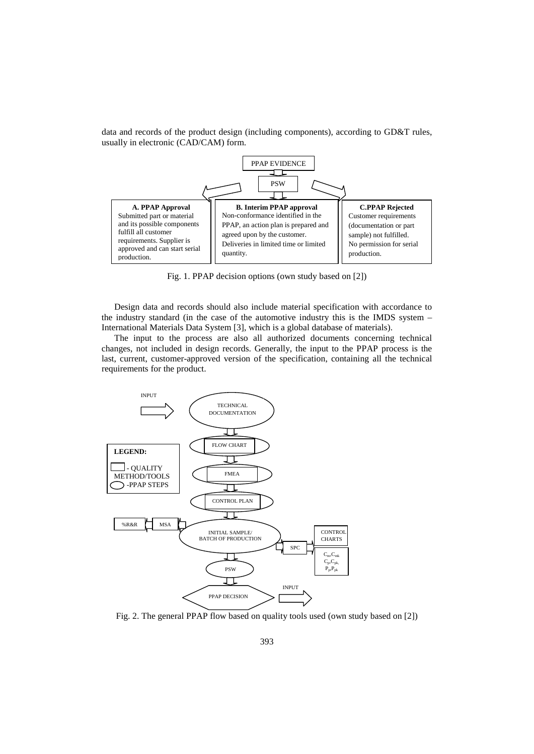

data and records of the product design (including components), according to GD&T rules, usually in electronic (CAD/CAM) form.

Fig. 1. PPAP decision options (own study based on [2])

Design data and records should also include material specification with accordance to the industry standard (in the case of the automotive industry this is the IMDS system – International Materials Data System [3], which is a global database of materials).

The input to the process are also all authorized documents concerning technical changes, not included in design records. Generally, the input to the PPAP process is the last, current, customer-approved version of the specification, containing all the technical requirements for the product.



Fig. 2. The general PPAP flow based on quality tools used (own study based on [2])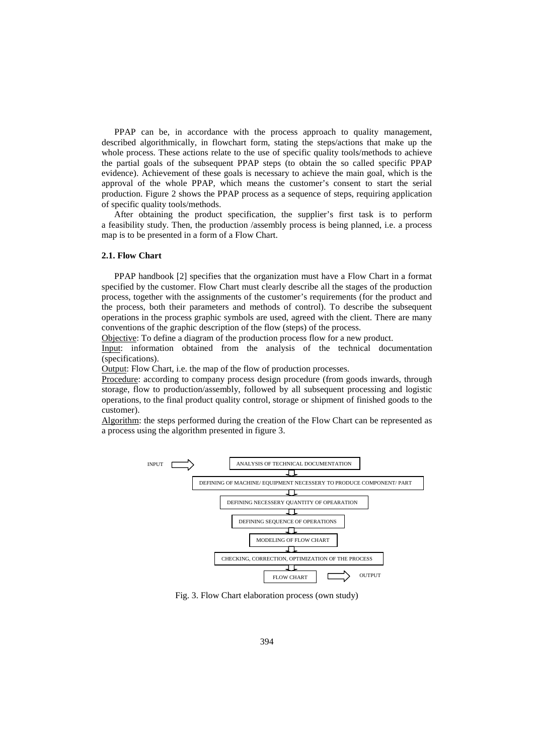PPAP can be, in accordance with the process approach to quality management, described algorithmically, in flowchart form, stating the steps/actions that make up the whole process. These actions relate to the use of specific quality tools/methods to achieve the partial goals of the subsequent PPAP steps (to obtain the so called specific PPAP evidence). Achievement of these goals is necessary to achieve the main goal, which is the approval of the whole PPAP, which means the customer's consent to start the serial production. Figure 2 shows the PPAP process as a sequence of steps, requiring application of specific quality tools/methods.

After obtaining the product specification, the supplier's first task is to perform a feasibility study. Then, the production /assembly process is being planned, i.e. a process map is to be presented in a form of a Flow Chart.

#### **2.1. Flow Chart**

PPAP handbook [2] specifies that the organization must have a Flow Chart in a format specified by the customer. Flow Chart must clearly describe all the stages of the production process, together with the assignments of the customer's requirements (for the product and the process, both their parameters and methods of control). To describe the subsequent operations in the process graphic symbols are used, agreed with the client. There are many conventions of the graphic description of the flow (steps) of the process.

Objective: To define a diagram of the production process flow for a new product.

Input: information obtained from the analysis of the technical documentation (specifications).

Output: Flow Chart, i.e. the map of the flow of production processes.

Procedure: according to company process design procedure (from goods inwards, through storage, flow to production/assembly, followed by all subsequent processing and logistic operations, to the final product quality control, storage or shipment of finished goods to the customer).

Algorithm: the steps performed during the creation of the Flow Chart can be represented as a process using the algorithm presented in figure 3.



Fig. 3. Flow Chart elaboration process (own study)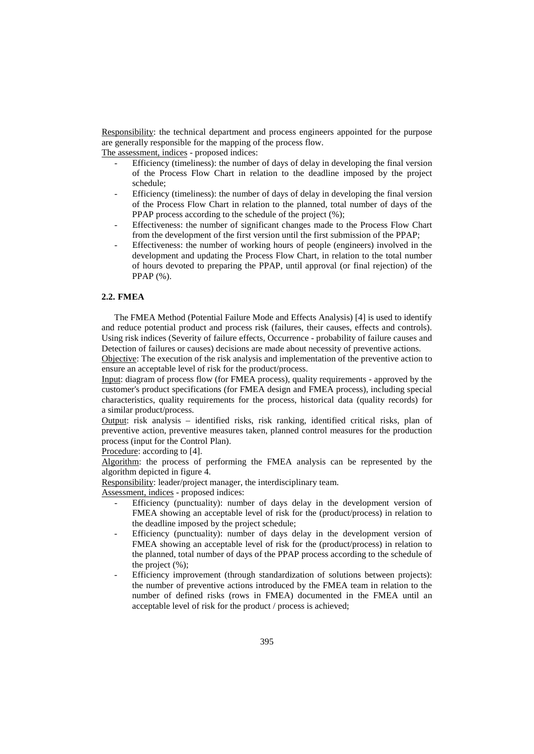Responsibility: the technical department and process engineers appointed for the purpose are generally responsible for the mapping of the process flow.

The assessment, indices - proposed indices:

- Efficiency (timeliness): the number of days of delay in developing the final version of the Process Flow Chart in relation to the deadline imposed by the project schedule;
- Efficiency (timeliness): the number of days of delay in developing the final version of the Process Flow Chart in relation to the planned, total number of days of the PPAP process according to the schedule of the project (%);
- Effectiveness: the number of significant changes made to the Process Flow Chart from the development of the first version until the first submission of the PPAP;
- Effectiveness: the number of working hours of people (engineers) involved in the development and updating the Process Flow Chart, in relation to the total number of hours devoted to preparing the PPAP, until approval (or final rejection) of the PPAP (%).

## **2.2. FMEA**

The FMEA Method (Potential Failure Mode and Effects Analysis) [4] is used to identify and reduce potential product and process risk (failures, their causes, effects and controls). Using risk indices (Severity of failure effects, Occurrence - probability of failure causes and Detection of failures or causes) decisions are made about necessity of preventive actions.

Objective: The execution of the risk analysis and implementation of the preventive action to ensure an acceptable level of risk for the product/process.

Input: diagram of process flow (for FMEA process), quality requirements - approved by the customer's product specifications (for FMEA design and FMEA process), including special characteristics, quality requirements for the process, historical data (quality records) for a similar product/process.

Output: risk analysis – identified risks, risk ranking, identified critical risks, plan of preventive action, preventive measures taken, planned control measures for the production process (input for the Control Plan).

Procedure: according to [4].

Algorithm: the process of performing the FMEA analysis can be represented by the algorithm depicted in figure 4.

Responsibility: leader/project manager, the interdisciplinary team.

Assessment, indices - proposed indices:

- Efficiency (punctuality): number of days delay in the development version of FMEA showing an acceptable level of risk for the (product/process) in relation to the deadline imposed by the project schedule;
- Efficiency (punctuality): number of days delay in the development version of FMEA showing an acceptable level of risk for the (product/process) in relation to the planned, total number of days of the PPAP process according to the schedule of the project  $(\% )$ :
- Efficiency improvement (through standardization of solutions between projects): the number of preventive actions introduced by the FMEA team in relation to the number of defined risks (rows in FMEA) documented in the FMEA until an acceptable level of risk for the product / process is achieved;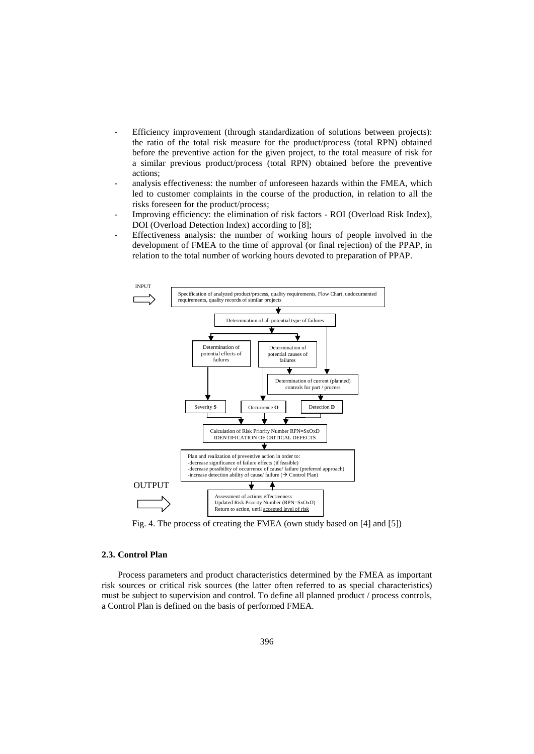- Efficiency improvement (through standardization of solutions between projects): the ratio of the total risk measure for the product/process (total RPN) obtained before the preventive action for the given project, to the total measure of risk for a similar previous product/process (total RPN) obtained before the preventive actions;
- analysis effectiveness: the number of unforeseen hazards within the FMEA, which led to customer complaints in the course of the production, in relation to all the risks foreseen for the product/process;
- Improving efficiency: the elimination of risk factors ROI (Overload Risk Index), DOI (Overload Detection Index) according to [8];
- Effectiveness analysis: the number of working hours of people involved in the development of FMEA to the time of approval (or final rejection) of the PPAP, in relation to the total number of working hours devoted to preparation of PPAP.



Fig. 4. The process of creating the FMEA (own study based on [4] and [5])

# **2.3. Control Plan**

Process parameters and product characteristics determined by the FMEA as important risk sources or critical risk sources (the latter often referred to as special characteristics) must be subject to supervision and control. To define all planned product / process controls, a Control Plan is defined on the basis of performed FMEA.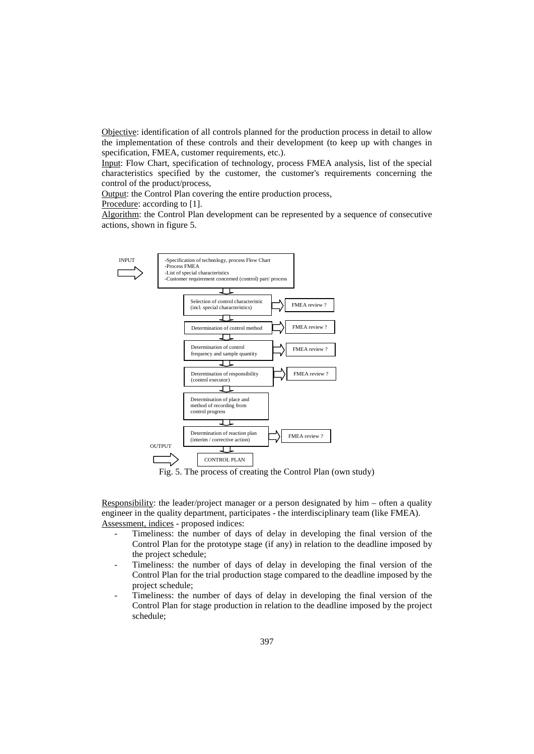Objective: identification of all controls planned for the production process in detail to allow the implementation of these controls and their development (to keep up with changes in specification, FMEA, customer requirements, etc.).

Input: Flow Chart, specification of technology, process FMEA analysis, list of the special characteristics specified by the customer, the customer's requirements concerning the control of the product/process,

Output: the Control Plan covering the entire production process,

Procedure: according to [1].

Algorithm: the Control Plan development can be represented by a sequence of consecutive actions, shown in figure 5.



Responsibility: the leader/project manager or a person designated by him – often a quality engineer in the quality department, participates - the interdisciplinary team (like FMEA). Assessment, indices - proposed indices:

- Timeliness: the number of days of delay in developing the final version of the Control Plan for the prototype stage (if any) in relation to the deadline imposed by the project schedule;
- Timeliness: the number of days of delay in developing the final version of the Control Plan for the trial production stage compared to the deadline imposed by the project schedule;
- Timeliness: the number of days of delay in developing the final version of the Control Plan for stage production in relation to the deadline imposed by the project schedule;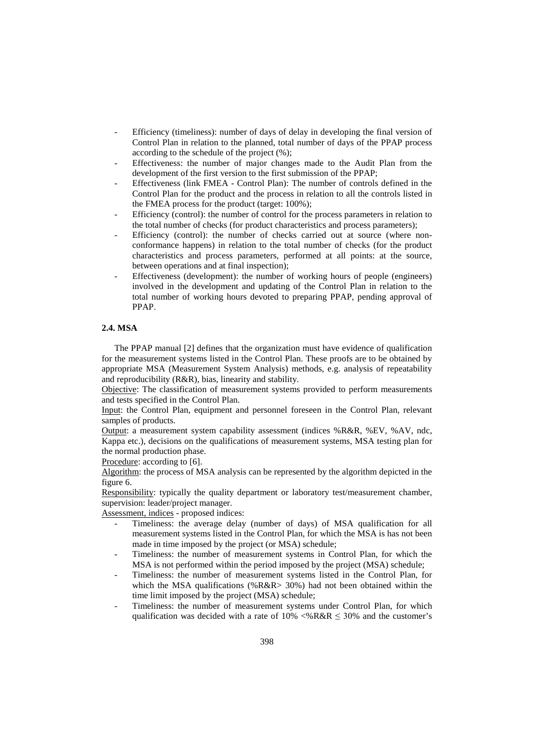- Efficiency (timeliness): number of days of delay in developing the final version of Control Plan in relation to the planned, total number of days of the PPAP process according to the schedule of the project (%);
- Effectiveness: the number of major changes made to the Audit Plan from the development of the first version to the first submission of the PPAP;
- Effectiveness (link FMEA Control Plan): The number of controls defined in the Control Plan for the product and the process in relation to all the controls listed in the FMEA process for the product (target: 100%);
- Efficiency (control): the number of control for the process parameters in relation to the total number of checks (for product characteristics and process parameters);
- Efficiency (control): the number of checks carried out at source (where nonconformance happens) in relation to the total number of checks (for the product characteristics and process parameters, performed at all points: at the source, between operations and at final inspection);
- Effectiveness (development): the number of working hours of people (engineers) involved in the development and updating of the Control Plan in relation to the total number of working hours devoted to preparing PPAP, pending approval of PPAP.

# **2.4. MSA**

The PPAP manual [2] defines that the organization must have evidence of qualification for the measurement systems listed in the Control Plan. These proofs are to be obtained by appropriate MSA (Measurement System Analysis) methods, e.g. analysis of repeatability and reproducibility (R&R), bias, linearity and stability.

Objective: The classification of measurement systems provided to perform measurements and tests specified in the Control Plan.

Input: the Control Plan, equipment and personnel foreseen in the Control Plan, relevant samples of products.

Output: a measurement system capability assessment (indices %R&R, %EV, %AV, ndc, Kappa etc.), decisions on the qualifications of measurement systems, MSA testing plan for the normal production phase.

Procedure: according to [6].

Algorithm: the process of MSA analysis can be represented by the algorithm depicted in the figure 6.

Responsibility: typically the quality department or laboratory test/measurement chamber, supervision: leader/project manager.

Assessment, indices - proposed indices:

- Timeliness: the average delay (number of days) of MSA qualification for all measurement systems listed in the Control Plan, for which the MSA is has not been made in time imposed by the project (or MSA) schedule;
- Timeliness: the number of measurement systems in Control Plan, for which the MSA is not performed within the period imposed by the project (MSA) schedule;
- Timeliness: the number of measurement systems listed in the Control Plan, for which the MSA qualifications (%R&R> 30%) had not been obtained within the time limit imposed by the project (MSA) schedule;
- Timeliness: the number of measurement systems under Control Plan, for which qualification was decided with a rate of  $10\% < \% R\&R \leq 30\%$  and the customer's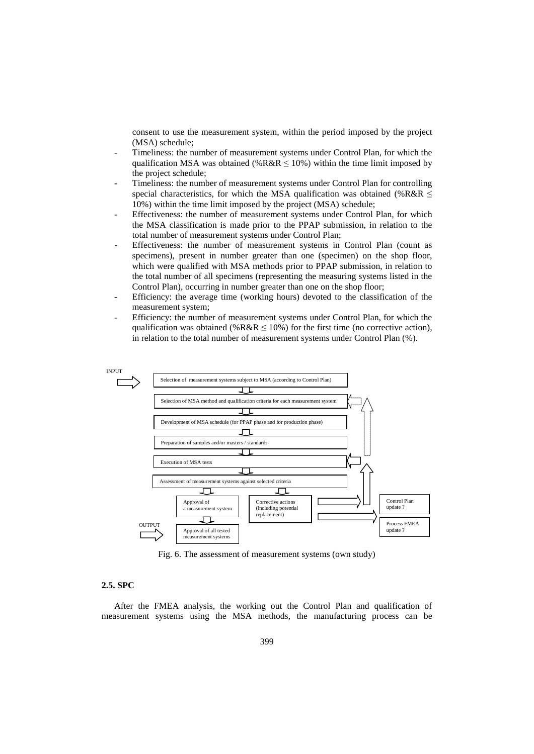consent to use the measurement system, within the period imposed by the project (MSA) schedule;

- Timeliness: the number of measurement systems under Control Plan, for which the qualification MSA was obtained (%R&R  $\leq$  10%) within the time limit imposed by the project schedule;
- Timeliness: the number of measurement systems under Control Plan for controlling special characteristics, for which the MSA qualification was obtained (%R&R  $\leq$ 10%) within the time limit imposed by the project (MSA) schedule;
- Effectiveness: the number of measurement systems under Control Plan, for which the MSA classification is made prior to the PPAP submission, in relation to the total number of measurement systems under Control Plan;
- Effectiveness: the number of measurement systems in Control Plan (count as specimens), present in number greater than one (specimen) on the shop floor, which were qualified with MSA methods prior to PPAP submission, in relation to the total number of all specimens (representing the measuring systems listed in the Control Plan), occurring in number greater than one on the shop floor;
- Efficiency: the average time (working hours) devoted to the classification of the measurement system;
- Efficiency: the number of measurement systems under Control Plan, for which the qualification was obtained (%R&R  $\leq$  10%) for the first time (no corrective action), in relation to the total number of measurement systems under Control Plan (%).



Fig. 6. The assessment of measurement systems (own study)

### **2.5. SPC**

After the FMEA analysis, the working out the Control Plan and qualification of measurement systems using the MSA methods, the manufacturing process can be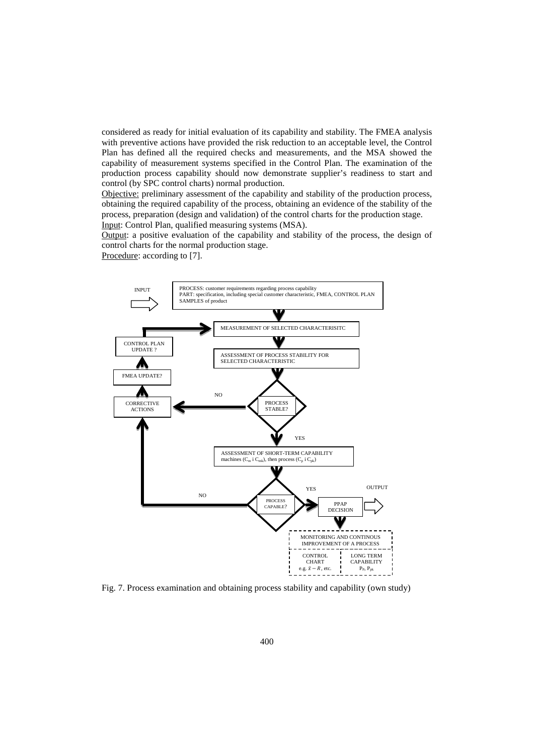considered as ready for initial evaluation of its capability and stability. The FMEA analysis with preventive actions have provided the risk reduction to an acceptable level, the Control Plan has defined all the required checks and measurements, and the MSA showed the capability of measurement systems specified in the Control Plan. The examination of the production process capability should now demonstrate supplier's readiness to start and control (by SPC control charts) normal production.

Objective: preliminary assessment of the capability and stability of the production process, obtaining the required capability of the process, obtaining an evidence of the stability of the process, preparation (design and validation) of the control charts for the production stage. Input: Control Plan, qualified measuring systems (MSA).

Output: a positive evaluation of the capability and stability of the process, the design of control charts for the normal production stage.

Procedure: according to [7].



Fig. 7. Process examination and obtaining process stability and capability (own study)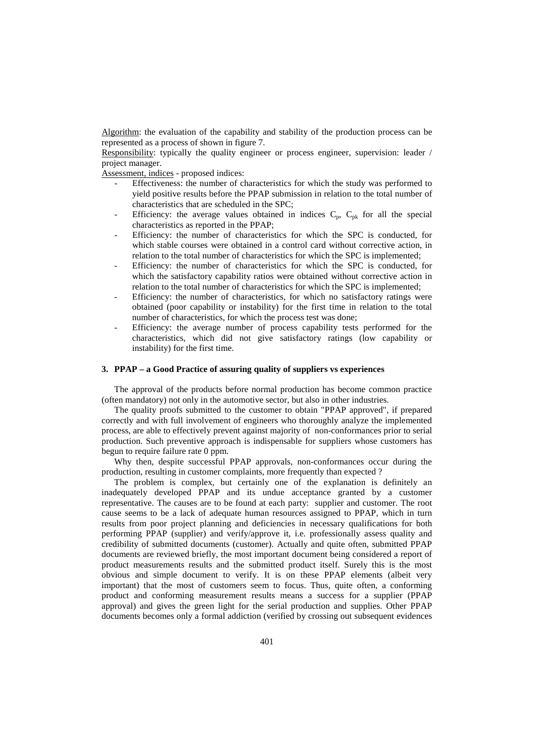Algorithm: the evaluation of the capability and stability of the production process can be represented as a process of shown in figure 7.

Responsibility: typically the quality engineer or process engineer, supervision: leader / project manager.

Assessment, indices - proposed indices:

- Effectiveness: the number of characteristics for which the study was performed to yield positive results before the PPAP submission in relation to the total number of characteristics that are scheduled in the SPC;
- Efficiency: the average values obtained in indices  $C_p$ ,  $C_{pk}$  for all the special characteristics as reported in the PPAP;
- Efficiency: the number of characteristics for which the SPC is conducted, for which stable courses were obtained in a control card without corrective action, in relation to the total number of characteristics for which the SPC is implemented;
- Efficiency: the number of characteristics for which the SPC is conducted, for which the satisfactory capability ratios were obtained without corrective action in relation to the total number of characteristics for which the SPC is implemented;
- Efficiency: the number of characteristics, for which no satisfactory ratings were obtained (poor capability or instability) for the first time in relation to the total number of characteristics, for which the process test was done;
- Efficiency: the average number of process capability tests performed for the characteristics, which did not give satisfactory ratings (low capability or instability) for the first time.

## **3. PPAP – a Good Practice of assuring quality of suppliers vs experiences**

The approval of the products before normal production has become common practice (often mandatory) not only in the automotive sector, but also in other industries.

The quality proofs submitted to the customer to obtain "PPAP approved", if prepared correctly and with full involvement of engineers who thoroughly analyze the implemented process, are able to effectively prevent against majority of non-conformances prior to serial production. Such preventive approach is indispensable for suppliers whose customers has begun to require failure rate 0 ppm.

Why then, despite successful PPAP approvals, non-conformances occur during the production, resulting in customer complaints, more frequently than expected ?

The problem is complex, but certainly one of the explanation is definitely an inadequately developed PPAP and its undue acceptance granted by a customer representative. The causes are to be found at each party: supplier and customer. The root cause seems to be a lack of adequate human resources assigned to PPAP, which in turn results from poor project planning and deficiencies in necessary qualifications for both performing PPAP (supplier) and verify/approve it, i.e. professionally assess quality and credibility of submitted documents (customer). Actually and quite often, submitted PPAP documents are reviewed briefly, the most important document being considered a report of product measurements results and the submitted product itself. Surely this is the most obvious and simple document to verify. It is on these PPAP elements (albeit very important) that the most of customers seem to focus. Thus, quite often, a conforming product and conforming measurement results means a success for a supplier (PPAP approval) and gives the green light for the serial production and supplies. Other PPAP documents becomes only a formal addiction (verified by crossing out subsequent evidences